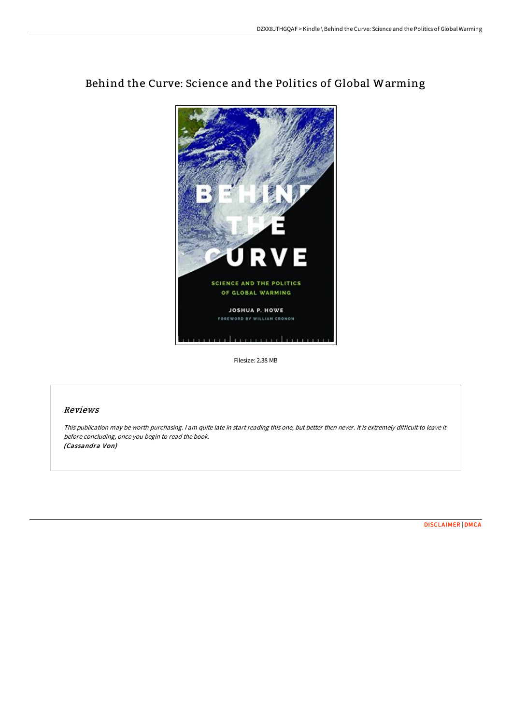

# Behind the Curve: Science and the Politics of Global Warming

Filesize: 2.38 MB

## Reviews

This publication may be worth purchasing. <sup>I</sup> am quite late in start reading this one, but better then never. It is extremely difficult to leave it before concluding, once you begin to read the book. (Cassandra Von)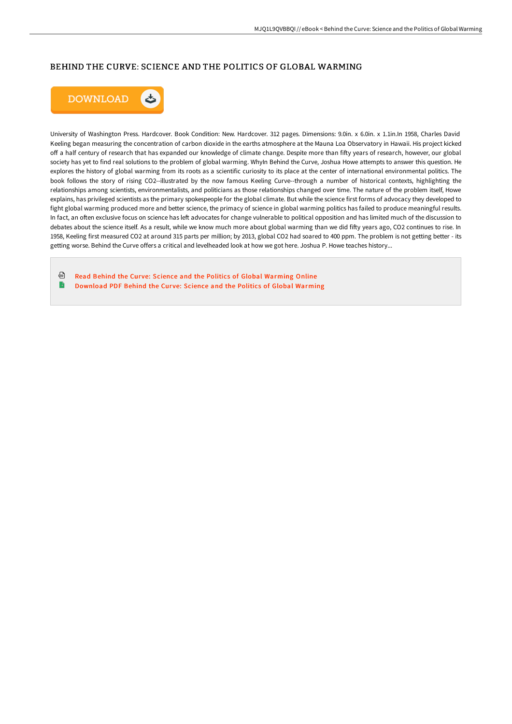## BEHIND THE CURVE: SCIENCE AND THE POLITICS OF GLOBAL WARMING



University of Washington Press. Hardcover. Book Condition: New. Hardcover. 312 pages. Dimensions: 9.0in. x 6.0in. x 1.1in.In 1958, Charles David Keeling began measuring the concentration of carbon dioxide in the earths atmosphere at the Mauna Loa Observatory in Hawaii. His project kicked off a half century of research that has expanded our knowledge of climate change. Despite more than fifty years of research, however, our global society has yet to find real solutions to the problem of global warming. WhyIn Behind the Curve, Joshua Howe attempts to answer this question. He explores the history of global warming from its roots as a scientific curiosity to its place at the center of international environmental politics. The book follows the story of rising CO2--illustrated by the now famous Keeling Curve--through a number of historical contexts, highlighting the relationships among scientists, environmentalists, and politicians as those relationships changed over time. The nature of the problem itself, Howe explains, has privileged scientists as the primary spokespeople for the global climate. But while the science first forms of advocacy they developed to fight global warming produced more and better science, the primacy of science in global warming politics has failed to produce meaningful results. In fact, an often exclusive focus on science has left advocates for change vulnerable to political opposition and has limited much of the discussion to debates about the science itself. As a result, while we know much more about global warming than we did fifty years ago, CO2 continues to rise. In 1958, Keeling first measured CO2 at around 315 parts per million; by 2013, global CO2 had soared to 400 ppm. The problem is not getting better - its getting worse. Behind the Curve offers a critical and levelheaded look at how we got here. Joshua P. Howe teaches history...

⊕ Read Behind the Curve: Science and the Politics of Global [Warming](http://albedo.media/behind-the-curve-science-and-the-politics-of-glo.html) Online B [Download](http://albedo.media/behind-the-curve-science-and-the-politics-of-glo.html) PDF Behind the Curve: Science and the Politics of Global Warming